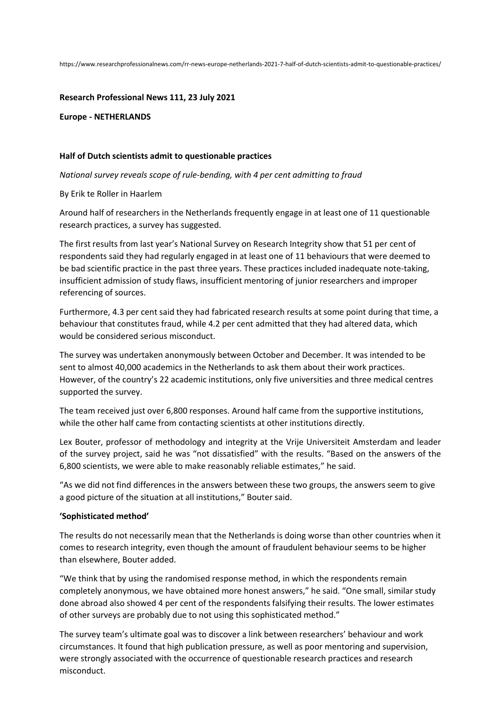https://www.researchprofessionalnews.com/rr-news-europe-netherlands-2021-7-half-of-dutch-scientists-admit-to-questionable-practices/

**Research Professional News 111, 23 July 2021**

**Europe - NETHERLANDS**

## **Half of Dutch scientists admit to questionable practices**

*National survey reveals scope of rule-bending, with 4 per cent admitting to fraud* 

By Erik te Roller in Haarlem

Around half of researchers in the Netherlands frequently engage in at least one of 11 questionable research practices, a survey has suggested.

The first results from last year's National Survey on Research Integrity show that 51 per cent of respondents said they had regularly engaged in at least one of 11 behaviours that were deemed to be bad scientific practice in the past three years. These practices included inadequate note-taking, insufficient admission of study flaws, insufficient mentoring of junior researchers and improper referencing of sources.

Furthermore, 4.3 per cent said they had fabricated research results at some point during that time, a behaviour that constitutes fraud, while 4.2 per cent admitted that they had altered data, which would be considered serious misconduct.

The survey was undertaken anonymously between October and December. It was intended to be sent to almost 40,000 academics in the Netherlands to ask them about their work practices. However, of the country's 22 academic institutions, only five universities and three medical centres supported the survey.

The team received just over 6,800 responses. Around half came from the supportive institutions, while the other half came from contacting scientists at other institutions directly.

Lex Bouter, professor of methodology and integrity at the Vrije Universiteit Amsterdam and leader of the survey project, said he was "not dissatisfied" with the results. "Based on the answers of the 6,800 scientists, we were able to make reasonably reliable estimates," he said.

"As we did not find differences in the answers between these two groups, the answers seem to give a good picture of the situation at all institutions," Bouter said.

## **'Sophisticated method'**

The results do not necessarily mean that the Netherlands is doing worse than other countries when it comes to research integrity, even though the amount of fraudulent behaviour seems to be higher than elsewhere, Bouter added.

"We think that by using the randomised response method, in which the respondents remain completely anonymous, we have obtained more honest answers," he said. "One small, similar study done abroad also showed 4 per cent of the respondents falsifying their results. The lower estimates of other surveys are probably due to not using this sophisticated method."

The survey team's ultimate goal was to discover a link between researchers' behaviour and work circumstances. It found that high publication pressure, as well as poor mentoring and supervision, were strongly associated with the occurrence of questionable research practices and research misconduct.